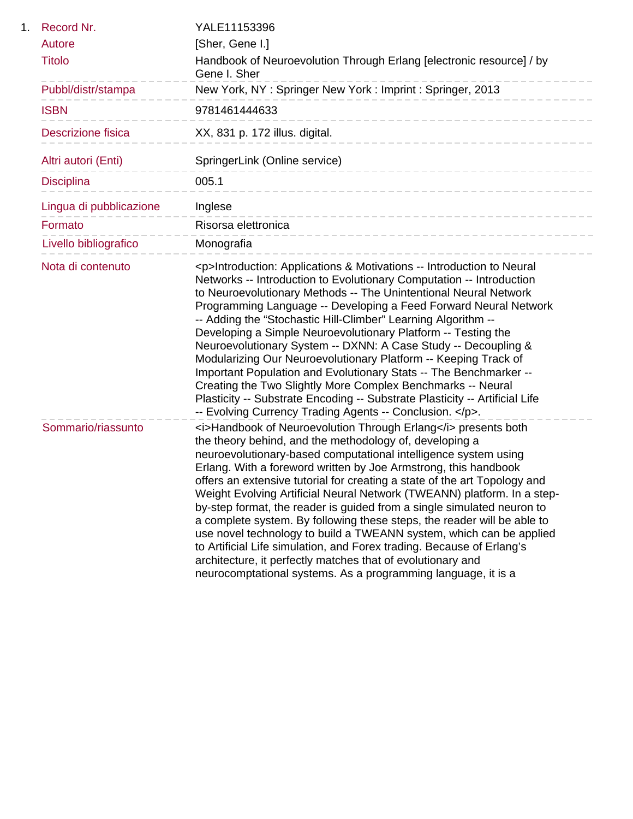| 1. | Record Nr.              | YALE11153396                                                                                                                                                                                                                                                                                                                                                                                                                                                                                                                                                                                                                                                                                                                                                                                                                                                    |
|----|-------------------------|-----------------------------------------------------------------------------------------------------------------------------------------------------------------------------------------------------------------------------------------------------------------------------------------------------------------------------------------------------------------------------------------------------------------------------------------------------------------------------------------------------------------------------------------------------------------------------------------------------------------------------------------------------------------------------------------------------------------------------------------------------------------------------------------------------------------------------------------------------------------|
|    | Autore                  | [Sher, Gene I.]                                                                                                                                                                                                                                                                                                                                                                                                                                                                                                                                                                                                                                                                                                                                                                                                                                                 |
|    | <b>Titolo</b>           | Handbook of Neuroevolution Through Erlang [electronic resource] / by<br>Gene I. Sher                                                                                                                                                                                                                                                                                                                                                                                                                                                                                                                                                                                                                                                                                                                                                                            |
|    | Pubbl/distr/stampa      | New York, NY: Springer New York: Imprint: Springer, 2013                                                                                                                                                                                                                                                                                                                                                                                                                                                                                                                                                                                                                                                                                                                                                                                                        |
|    | <b>ISBN</b>             | 9781461444633                                                                                                                                                                                                                                                                                                                                                                                                                                                                                                                                                                                                                                                                                                                                                                                                                                                   |
|    | Descrizione fisica      | XX, 831 p. 172 illus. digital.<br>____________________                                                                                                                                                                                                                                                                                                                                                                                                                                                                                                                                                                                                                                                                                                                                                                                                          |
|    | Altri autori (Enti)     | SpringerLink (Online service)<br>---------------------                                                                                                                                                                                                                                                                                                                                                                                                                                                                                                                                                                                                                                                                                                                                                                                                          |
|    | <b>Disciplina</b>       | 005.1<br>---------------------------                                                                                                                                                                                                                                                                                                                                                                                                                                                                                                                                                                                                                                                                                                                                                                                                                            |
|    | Lingua di pubblicazione | Inglese                                                                                                                                                                                                                                                                                                                                                                                                                                                                                                                                                                                                                                                                                                                                                                                                                                                         |
|    | Formato                 | Risorsa elettronica<br>------------------------                                                                                                                                                                                                                                                                                                                                                                                                                                                                                                                                                                                                                                                                                                                                                                                                                 |
|    | Livello bibliografico   | Monografia                                                                                                                                                                                                                                                                                                                                                                                                                                                                                                                                                                                                                                                                                                                                                                                                                                                      |
|    | Nota di contenuto       | <p>Introduction: Applications &amp; Motivations -- Introduction to Neural<br/>Networks -- Introduction to Evolutionary Computation -- Introduction<br/>to Neuroevolutionary Methods -- The Unintentional Neural Network<br/>Programming Language -- Developing a Feed Forward Neural Network<br/>-- Adding the "Stochastic Hill-Climber" Learning Algorithm --<br/>Developing a Simple Neuroevolutionary Platform -- Testing the<br/>Neuroevolutionary System -- DXNN: A Case Study -- Decoupling &amp;<br/>Modularizing Our Neuroevolutionary Platform -- Keeping Track of<br/>Important Population and Evolutionary Stats -- The Benchmarker --<br/>Creating the Two Slightly More Complex Benchmarks -- Neural<br/>Plasticity -- Substrate Encoding -- Substrate Plasticity -- Artificial Life<br/>-- Evolving Currency Trading Agents -- Conclusion. </p> . |
|    | Sommario/riassunto      | <i>Handbook of Neuroevolution Through Erlang</i> presents both<br>the theory behind, and the methodology of, developing a<br>neuroevolutionary-based computational intelligence system using<br>Erlang. With a foreword written by Joe Armstrong, this handbook<br>offers an extensive tutorial for creating a state of the art Topology and<br>Weight Evolving Artificial Neural Network (TWEANN) platform. In a step-<br>by-step format, the reader is guided from a single simulated neuron to<br>a complete system. By following these steps, the reader will be able to<br>use novel technology to build a TWEANN system, which can be applied<br>to Artificial Life simulation, and Forex trading. Because of Erlang's<br>architecture, it perfectly matches that of evolutionary and<br>neurocomptational systems. As a programming language, it is a    |